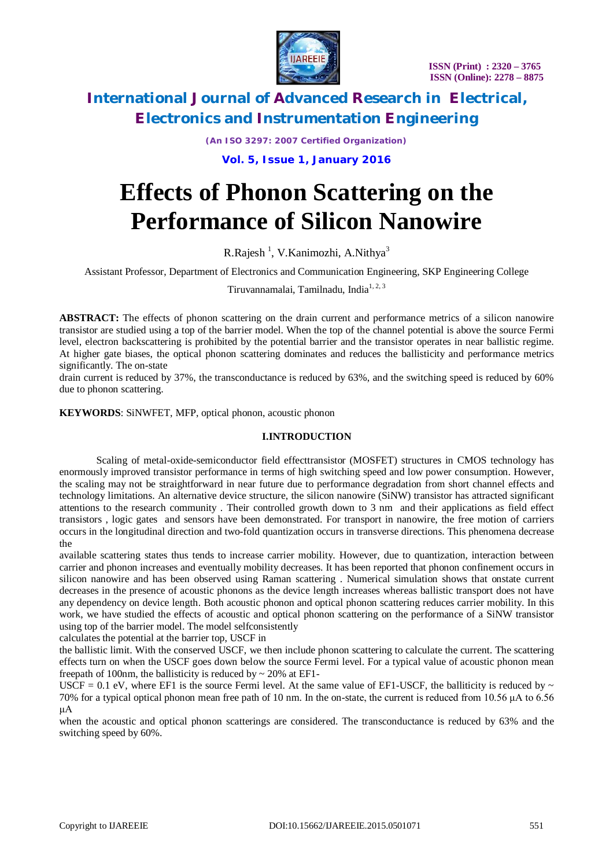

*(An ISO 3297: 2007 Certified Organization)*

**Vol. 5, Issue 1, January 2016**

# **Effects of Phonon Scattering on the Performance of Silicon Nanowire**

R.Rajesh<sup>1</sup>, V.Kanimozhi, A.Nithya<sup>3</sup>

Assistant Professor, Department of Electronics and Communication Engineering, SKP Engineering College

Tiruvannamalai, Tamilnadu, India $1, 2, 3$ 

**ABSTRACT:** The effects of phonon scattering on the drain current and performance metrics of a silicon nanowire transistor are studied using a top of the barrier model. When the top of the channel potential is above the source Fermi level, electron backscattering is prohibited by the potential barrier and the transistor operates in near ballistic regime. At higher gate biases, the optical phonon scattering dominates and reduces the ballisticity and performance metrics significantly. The on-state

drain current is reduced by 37%, the transconductance is reduced by 63%, and the switching speed is reduced by 60% due to phonon scattering.

**KEYWORDS**: SiNWFET, MFP, optical phonon, acoustic phonon

#### **I.INTRODUCTION**

Scaling of metal-oxide-semiconductor field effecttransistor (MOSFET) structures in CMOS technology has enormously improved transistor performance in terms of high switching speed and low power consumption. However, the scaling may not be straightforward in near future due to performance degradation from short channel effects and technology limitations. An alternative device structure, the silicon nanowire (SiNW) transistor has attracted significant attentions to the research community . Their controlled growth down to 3 nm and their applications as field effect transistors , logic gates and sensors have been demonstrated. For transport in nanowire, the free motion of carriers occurs in the longitudinal direction and two-fold quantization occurs in transverse directions. This phenomena decrease the

available scattering states thus tends to increase carrier mobility. However, due to quantization, interaction between carrier and phonon increases and eventually mobility decreases. It has been reported that phonon confinement occurs in silicon nanowire and has been observed using Raman scattering . Numerical simulation shows that onstate current decreases in the presence of acoustic phonons as the device length increases whereas ballistic transport does not have any dependency on device length. Both acoustic phonon and optical phonon scattering reduces carrier mobility. In this work, we have studied the effects of acoustic and optical phonon scattering on the performance of a SiNW transistor using top of the barrier model. The model selfconsistently

calculates the potential at the barrier top, USCF in

the ballistic limit. With the conserved USCF, we then include phonon scattering to calculate the current. The scattering effects turn on when the USCF goes down below the source Fermi level. For a typical value of acoustic phonon mean freepath of 100nm, the ballisticity is reduced by  $\sim$  20% at EF1-

USCF = 0.1 eV, where EF1 is the source Fermi level. At the same value of EF1-USCF, the balliticity is reduced by  $\sim$ 70% for a typical optical phonon mean free path of 10 nm. In the on-state, the current is reduced from 10.56 μA to 6.56 μA

when the acoustic and optical phonon scatterings are considered. The transconductance is reduced by 63% and the switching speed by 60%.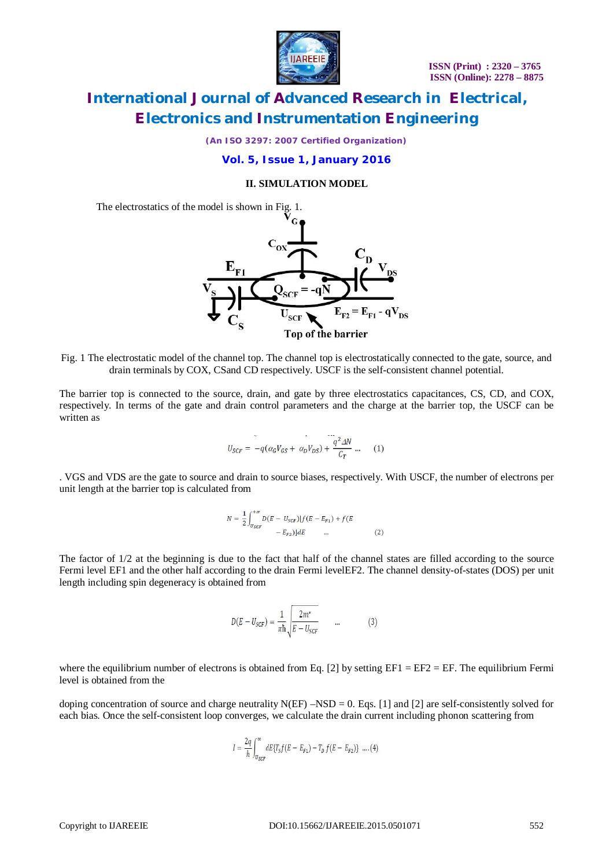

*(An ISO 3297: 2007 Certified Organization)*

### **Vol. 5, Issue 1, January 2016**

#### **II. SIMULATION MODEL**

The electrostatics of the model is shown in Fig. 1.



Fig. 1 The electrostatic model of the channel top. The channel top is electrostatically connected to the gate, source, and drain terminals by COX, CSand CD respectively. USCF is the self-consistent channel potential.

The barrier top is connected to the source, drain, and gate by three electrostatics capacitances, CS, CD, and COX, respectively. In terms of the gate and drain control parameters and the charge at the barrier top, the USCF can be written as

$$
U_{SCF} = -q(\alpha_G V_{GS} + \alpha_D V_{DS}) + \frac{q^2 \Delta N}{C_T} \dots \qquad (1)
$$

. VGS and VDS are the gate to source and drain to source biases, respectively. With USCF, the number of electrons per unit length at the barrier top is calculated from

$$
N = \frac{1}{2} \int_{U_{SCF}}^{+\infty} D(E - U_{SCF}) [f(E - E_{F1}) + f(E - E_{F2})] dE
$$
 ... (2)

The factor of 1/2 at the beginning is due to the fact that half of the channel states are filled according to the source Fermi level EF1 and the other half according to the drain Fermi levelEF2. The channel density-of-states (DOS) per unit length including spin degeneracy is obtained from

$$
D(E - U_{SCF}) = \frac{1}{\pi \hbar} \sqrt{\frac{2m^*}{E - U_{SCF}}} \qquad \dots \tag{3}
$$

where the equilibrium number of electrons is obtained from Eq. [2] by setting  $EFI = EF2 = EF$ . The equilibrium Fermi level is obtained from the

doping concentration of source and charge neutrality  $N(EF) - NSD = 0$ . Eqs. [1] and [2] are self-consistently solved for each bias. Once the self-consistent loop converges, we calculate the drain current including phonon scattering from

$$
I = \frac{2q}{h} \int_{U_{SCF}}^{\infty} dE \{ T_S f (E - E_{F1}) - T_D f (E - E_{F2}) \} ....(4)
$$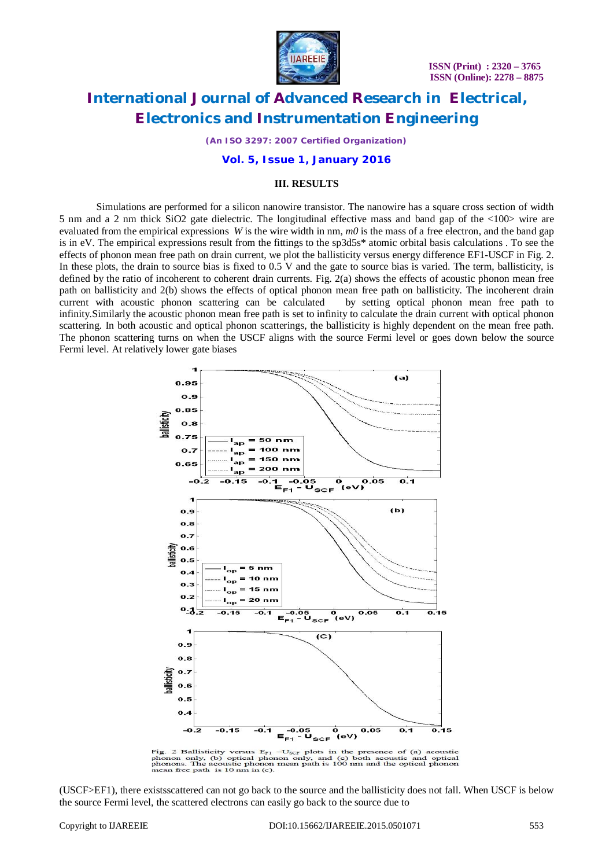

*(An ISO 3297: 2007 Certified Organization)*

#### **Vol. 5, Issue 1, January 2016**

#### **III. RESULTS**

Simulations are performed for a silicon nanowire transistor. The nanowire has a square cross section of width 5 nm and a 2 nm thick SiO2 gate dielectric. The longitudinal effective mass and band gap of the <100> wire are evaluated from the empirical expressions *W* is the wire width in nm, *m0* is the mass of a free electron, and the band gap is in eV. The empirical expressions result from the fittings to the sp3d5s\* atomic orbital basis calculations . To see the effects of phonon mean free path on drain current, we plot the ballisticity versus energy difference EF1-USCF in Fig. 2. In these plots, the drain to source bias is fixed to 0.5 V and the gate to source bias is varied. The term, ballisticity, is defined by the ratio of incoherent to coherent drain currents. Fig. 2(a) shows the effects of acoustic phonon mean free path on ballisticity and 2(b) shows the effects of optical phonon mean free path on ballisticity. The incoherent drain current with acoustic phonon scattering can be calculated by setting optical phonon mean free path to infinity.Similarly the acoustic phonon mean free path is set to infinity to calculate the drain current with optical phonon scattering. In both acoustic and optical phonon scatterings, the ballisticity is highly dependent on the mean free path. The phonon scattering turns on when the USCF aligns with the source Fermi level or goes down below the source Fermi level. At relatively lower gate biases



Fig. 2 Ballisticity versus  $E_{F1}$  -U<sub>SCF</sub> plots in the presence of (a) acoustic phonon only, (b) optical phonon only, and (c) both acoustic and optical phonons. The acoustic phonon mean path is 100 nm and the optical pho

(USCF>EF1), there existsscattered can not go back to the source and the ballisticity does not fall. When USCF is below the source Fermi level, the scattered electrons can easily go back to the source due to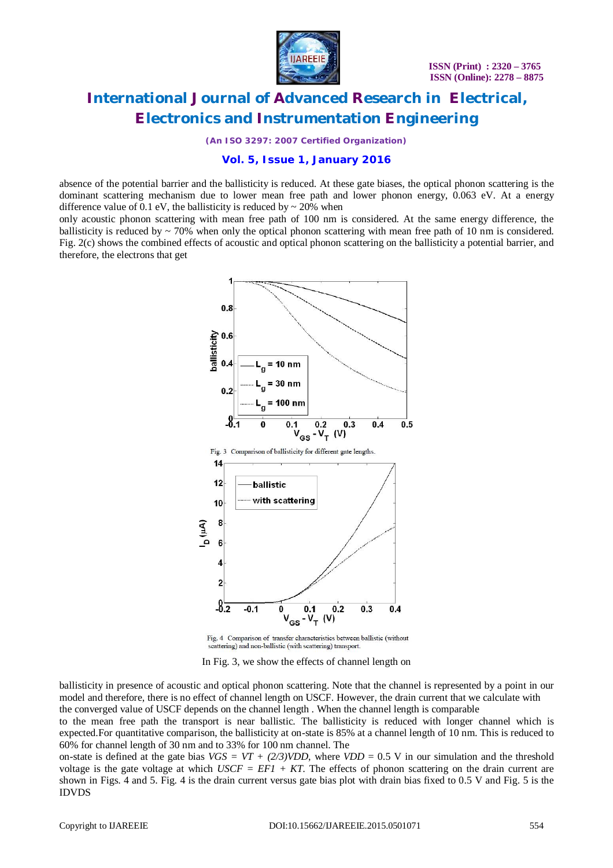

*(An ISO 3297: 2007 Certified Organization)*

### **Vol. 5, Issue 1, January 2016**

absence of the potential barrier and the ballisticity is reduced. At these gate biases, the optical phonon scattering is the dominant scattering mechanism due to lower mean free path and lower phonon energy, 0.063 eV. At a energy difference value of 0.1 eV, the ballisticity is reduced by  $\sim$  20% when

only acoustic phonon scattering with mean free path of 100 nm is considered. At the same energy difference, the ballisticity is reduced by  $\sim$  70% when only the optical phonon scattering with mean free path of 10 nm is considered. Fig. 2(c) shows the combined effects of acoustic and optical phonon scattering on the ballisticity a potential barrier, and therefore, the electrons that get



Fig. 4 Comparison of transfer characteristics between ballistic (without scattering) and non-ballistic (with scattering) transport.

In Fig. 3, we show the effects of channel length on

ballisticity in presence of acoustic and optical phonon scattering. Note that the channel is represented by a point in our model and therefore, there is no effect of channel length on USCF. However, the drain current that we calculate with the converged value of USCF depends on the channel length . When the channel length is comparable

to the mean free path the transport is near ballistic. The ballisticity is reduced with longer channel which is expected.For quantitative comparison, the ballisticity at on-state is 85% at a channel length of 10 nm. This is reduced to 60% for channel length of 30 nm and to 33% for 100 nm channel. The

on-state is defined at the gate bias  $VGS = VT + (2/3) VDD$ , where  $VDD = 0.5$  V in our simulation and the threshold voltage is the gate voltage at which  $USCF = EFI + KT$ . The effects of phonon scattering on the drain current are shown in Figs. 4 and 5. Fig. 4 is the drain current versus gate bias plot with drain bias fixed to 0.5 V and Fig. 5 is the IDVDS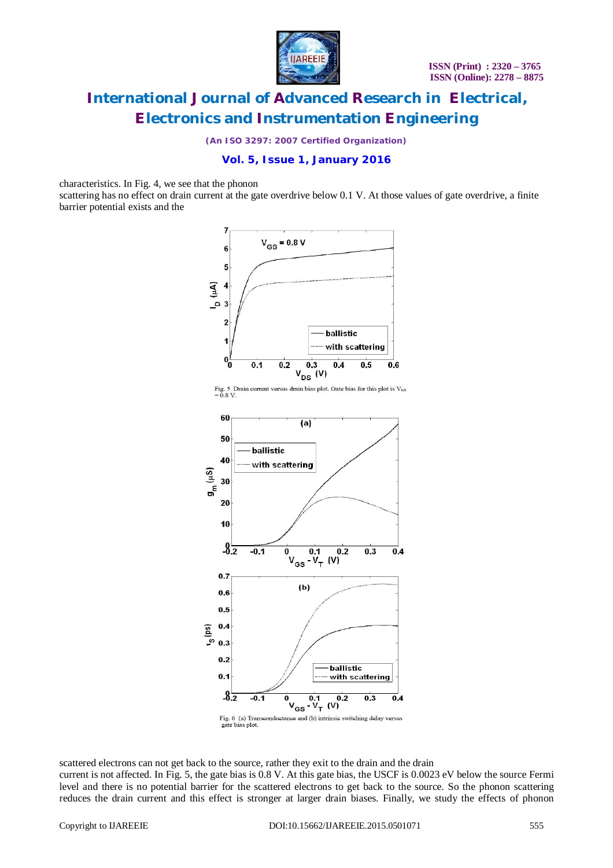

*(An ISO 3297: 2007 Certified Organization)*

### **Vol. 5, Issue 1, January 2016**

characteristics. In Fig. 4, we see that the phonon

scattering has no effect on drain current at the gate overdrive below 0.1 V. At those values of gate overdrive, a finite barrier potential exists and the





scattered electrons can not get back to the source, rather they exit to the drain and the drain current is not affected. In Fig. 5, the gate bias is 0.8 V. At this gate bias, the USCF is 0.0023 eV below the source Fermi level and there is no potential barrier for the scattered electrons to get back to the source. So the phonon scattering reduces the drain current and this effect is stronger at larger drain biases. Finally, we study the effects of phonon